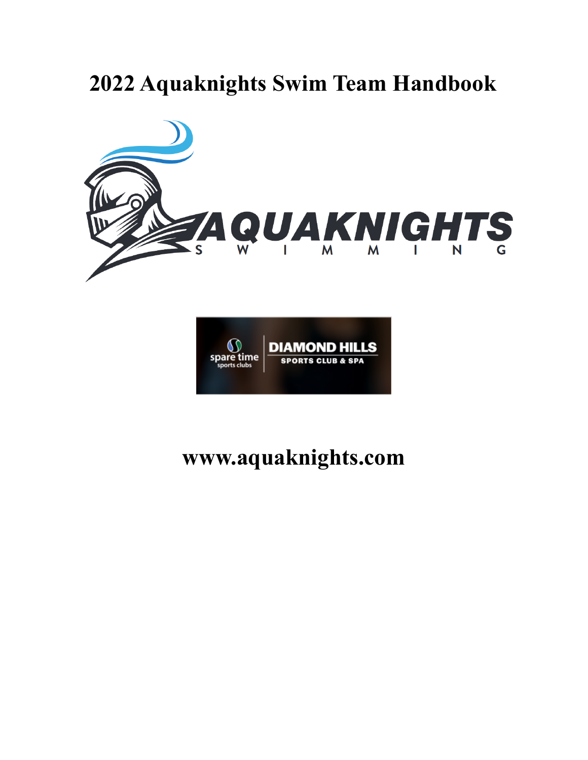# **2022 Aquaknights Swim Team Handbook**





# **www.aquaknights.com**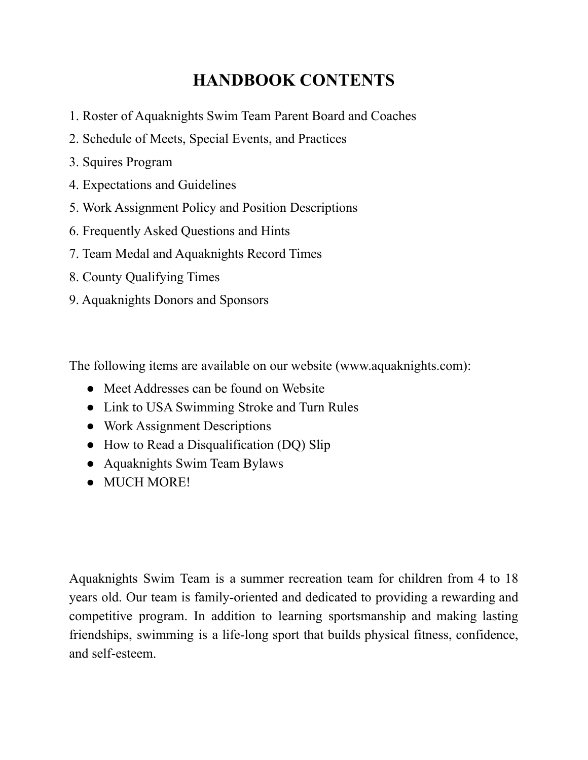# **HANDBOOK CONTENTS**

- 1. Roster of Aquaknights Swim Team Parent Board and Coaches
- 2. Schedule of Meets, Special Events, and Practices
- 3. Squires Program
- 4. Expectations and Guidelines
- 5. Work Assignment Policy and Position Descriptions
- 6. Frequently Asked Questions and Hints
- 7. Team Medal and Aquaknights Record Times
- 8. County Qualifying Times
- 9. Aquaknights Donors and Sponsors

The following items are available on our website (www.aquaknights.com):

- Meet Addresses can be found on Website
- Link to USA Swimming Stroke and Turn Rules
- Work Assignment Descriptions
- How to Read a Disqualification (DQ) Slip
- Aquaknights Swim Team Bylaws
- MUCH MORE!

Aquaknights Swim Team is a summer recreation team for children from 4 to 18 years old. Our team is family-oriented and dedicated to providing a rewarding and competitive program. In addition to learning sportsmanship and making lasting friendships, swimming is a life-long sport that builds physical fitness, confidence, and self-esteem.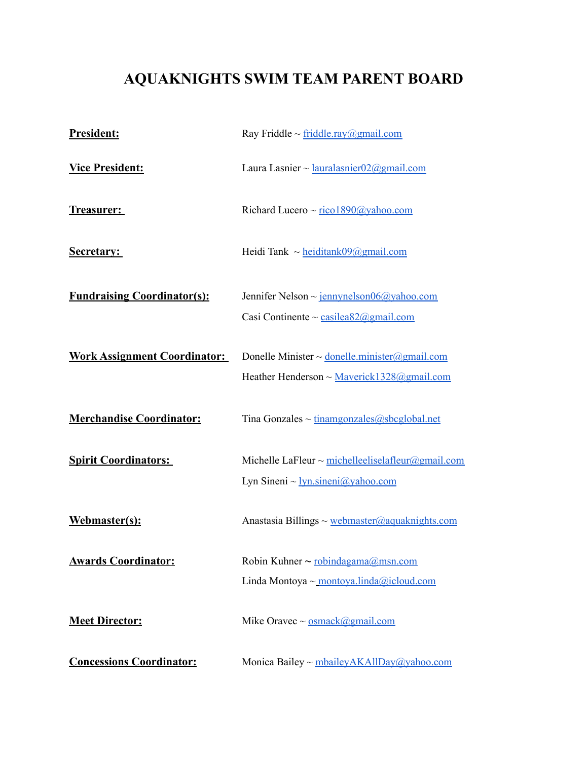# **AQUAKNIGHTS SWIM TEAM PARENT BOARD**

| <b>President:</b>                   | Ray Friddle ~ $\frac{\text{friddle} \cdot \text{ray}(a)}{\text{gmail.com}}$                          |
|-------------------------------------|------------------------------------------------------------------------------------------------------|
| <b>Vice President:</b>              | Laura Lasnier ~ $lauralasnier$ 02@gmail.com                                                          |
| <u>Treasurer:</u>                   | Richard Lucero ~ rico1890@yahoo.com                                                                  |
| <b>Secretary:</b>                   | Heidi Tank $\sim$ heiditank09@gmail.com                                                              |
| <b>Fundraising Coordinator(s):</b>  | Jennifer Nelson ~ jennynelson06@yahoo.com<br>Casi Continente ~ casilea82@gmail.com                   |
| <b>Work Assignment Coordinator:</b> | Donelle Minister ~ donelle minister@gmail.com<br>Heather Henderson $\sim$ Maverick 1328@gmail.com    |
| <b>Merchandise Coordinator:</b>     | Tina Gonzales $\sim$ tinamgonzales @sbcglobal.net                                                    |
| <b>Spirit Coordinators:</b>         | Michelle LaFleur ~ michelle eliselafleur@gmail.com<br>Lyn Sineni $\sim$ <u>lyn sineni</u> @yahoo.com |
| Webmaster(s):                       | Anastasia Billings ~ webmaster@aquaknights.com                                                       |
| <b>Awards Coordinator:</b>          | Robin Kuhner ~ robindagama@msn.com<br>Linda Montoya ~ montoya.linda@icloud.com                       |
| <b>Meet Director:</b>               | Mike Oravec $\sim$ <u>osmack@gmail.com</u>                                                           |
| <b>Concessions Coordinator:</b>     | Monica Bailey ~ mbaileyAKAllDay@yahoo.com                                                            |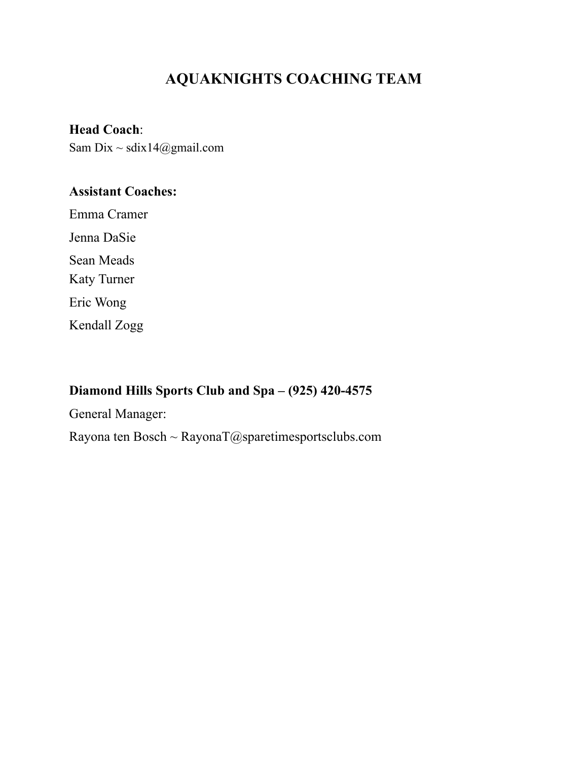# **AQUAKNIGHTS COACHING TEAM**

**Head Coach**:

Sam Dix  $\sim$  sdix14@gmail.com

# **Assistant Coaches:**

Emma Cramer Jenna DaSie Sean Meads Katy Turner Eric Wong

Kendall Zogg

# **Diamond Hills Sports Club and Spa – (925) 420-4575**

General Manager:

Rayona ten Bosch ~ RayonaT@sparetimesportsclubs.com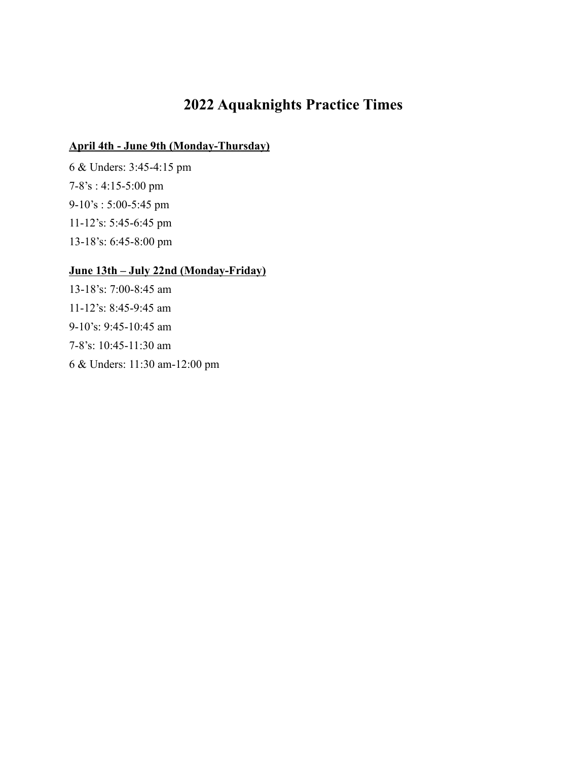# **2022 Aquaknights Practice Times**

### **April 4th - June 9th (Monday-Thursday)**

6 & Unders: 3:45-4:15 pm 7-8's : 4:15-5:00 pm 9-10's : 5:00-5:45 pm 11-12's: 5:45-6:45 pm 13-18's: 6:45-8:00 pm

# **June 13th – July 22nd (Monday-Friday)**

13-18's: 7:00-8:45 am 11-12's: 8:45-9:45 am 9-10's: 9:45-10:45 am 7-8's: 10:45-11:30 am 6 & Unders: 11:30 am-12:00 pm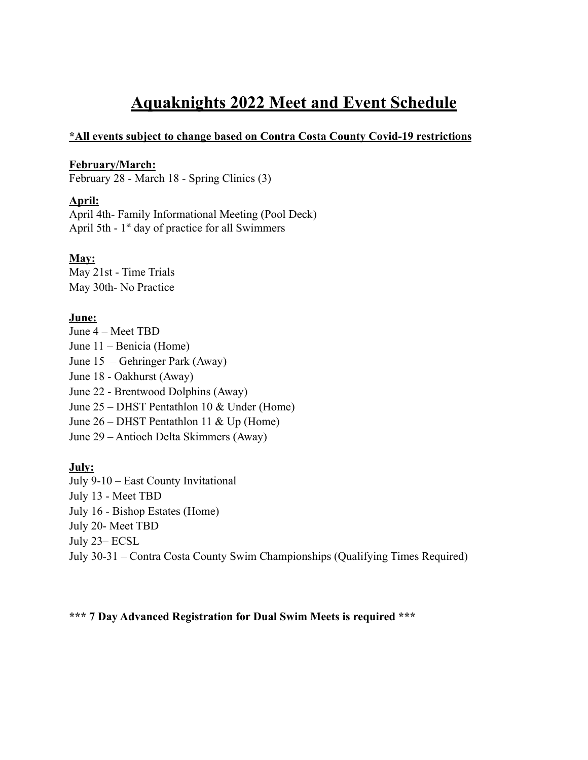# **Aquaknights 2022 Meet and Event Schedule**

#### **\*All events subject to change based on Contra Costa County Covid-19 restrictions**

#### **February/March:**

February 28 - March 18 - Spring Clinics (3)

#### **April:**

April 4th- Family Informational Meeting (Pool Deck) April 5th -  $1<sup>st</sup>$  day of practice for all Swimmers

### **May:**

May 21st - Time Trials May 30th- No Practice

#### **June:**

June 4 – Meet TBD June 11 – Benicia (Home) June 15 – Gehringer Park (Away) June 18 - Oakhurst (Away) June 22 - Brentwood Dolphins (Away) June 25 – DHST Pentathlon 10 & Under (Home) June 26 – DHST Pentathlon 11 & Up (Home) June 29 – Antioch Delta Skimmers (Away)

### **July:**

July 9-10 – East County Invitational July 13 - Meet TBD July 16 - Bishop Estates (Home) July 20- Meet TBD July 23– ECSL July 30-31 – Contra Costa County Swim Championships (Qualifying Times Required)

**\*\*\* 7 Day Advanced Registration for Dual Swim Meets is required \*\*\***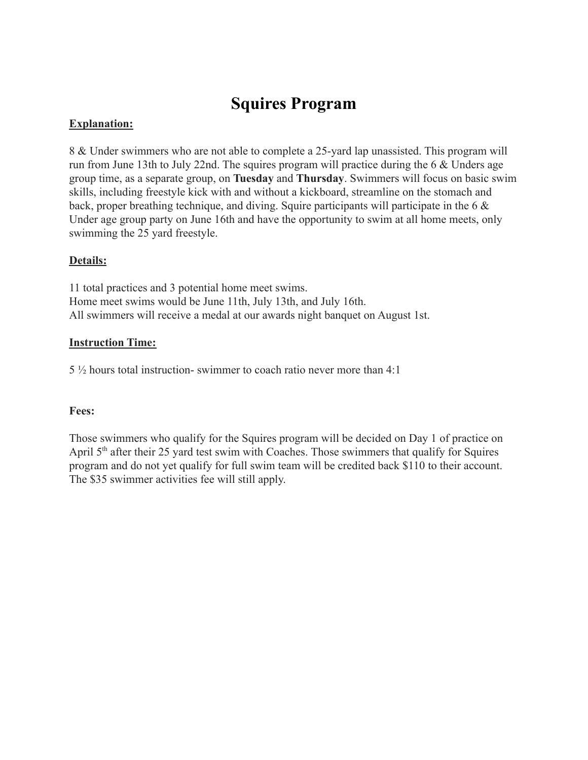# **Squires Program**

## **Explanation:**

8 & Under swimmers who are not able to complete a 25-yard lap unassisted. This program will run from June 13th to July 22nd. The squires program will practice during the 6 & Unders age group time, as a separate group, on **Tuesday** and **Thursday**. Swimmers will focus on basic swim skills, including freestyle kick with and without a kickboard, streamline on the stomach and back, proper breathing technique, and diving. Squire participants will participate in the 6 & Under age group party on June 16th and have the opportunity to swim at all home meets, only swimming the 25 yard freestyle.

# **Details:**

11 total practices and 3 potential home meet swims. Home meet swims would be June 11th, July 13th, and July 16th. All swimmers will receive a medal at our awards night banquet on August 1st.

### **Instruction Time:**

5 ½ hours total instruction- swimmer to coach ratio never more than 4:1

### **Fees:**

Those swimmers who qualify for the Squires program will be decided on Day 1 of practice on April 5<sup>th</sup> after their 25 yard test swim with Coaches. Those swimmers that qualify for Squires program and do not yet qualify for full swim team will be credited back \$110 to their account. The \$35 swimmer activities fee will still apply.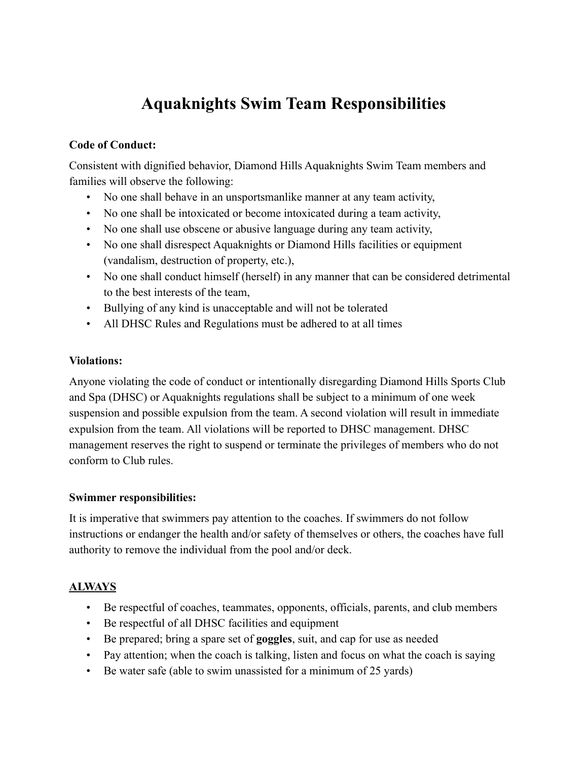# **Aquaknights Swim Team Responsibilities**

### **Code of Conduct:**

Consistent with dignified behavior, Diamond Hills Aquaknights Swim Team members and families will observe the following:

- No one shall behave in an unsportsmanlike manner at any team activity,
- No one shall be intoxicated or become intoxicated during a team activity,
- No one shall use obscene or abusive language during any team activity,
- No one shall disrespect Aquaknights or Diamond Hills facilities or equipment (vandalism, destruction of property, etc.),
- No one shall conduct himself (herself) in any manner that can be considered detrimental to the best interests of the team,
- Bullying of any kind is unacceptable and will not be tolerated
- All DHSC Rules and Regulations must be adhered to at all times

### **Violations:**

Anyone violating the code of conduct or intentionally disregarding Diamond Hills Sports Club and Spa (DHSC) or Aquaknights regulations shall be subject to a minimum of one week suspension and possible expulsion from the team. A second violation will result in immediate expulsion from the team. All violations will be reported to DHSC management. DHSC management reserves the right to suspend or terminate the privileges of members who do not conform to Club rules.

#### **Swimmer responsibilities:**

It is imperative that swimmers pay attention to the coaches. If swimmers do not follow instructions or endanger the health and/or safety of themselves or others, the coaches have full authority to remove the individual from the pool and/or deck.

### **ALWAYS**

- Be respectful of coaches, teammates, opponents, officials, parents, and club members
- Be respectful of all DHSC facilities and equipment
- Be prepared; bring a spare set of **goggles**, suit, and cap for use as needed
- Pay attention; when the coach is talking, listen and focus on what the coach is saying
- Be water safe (able to swim unassisted for a minimum of 25 yards)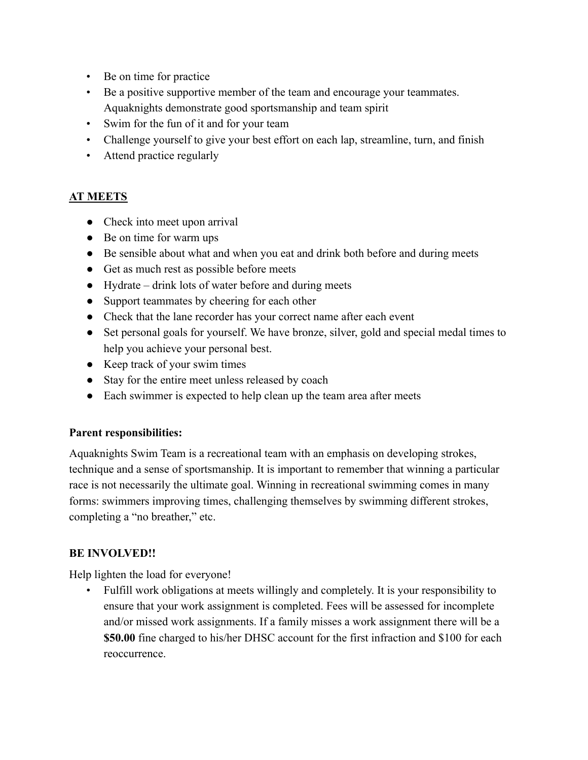- Be on time for practice
- Be a positive supportive member of the team and encourage your teammates. Aquaknights demonstrate good sportsmanship and team spirit
- Swim for the fun of it and for your team
- Challenge yourself to give your best effort on each lap, streamline, turn, and finish
- Attend practice regularly

# **AT MEETS**

- Check into meet upon arrival
- Be on time for warm ups
- Be sensible about what and when you eat and drink both before and during meets
- Get as much rest as possible before meets
- Hydrate drink lots of water before and during meets
- Support teammates by cheering for each other
- Check that the lane recorder has your correct name after each event
- Set personal goals for yourself. We have bronze, silver, gold and special medal times to help you achieve your personal best.
- Keep track of your swim times
- Stay for the entire meet unless released by coach
- Each swimmer is expected to help clean up the team area after meets

### **Parent responsibilities:**

Aquaknights Swim Team is a recreational team with an emphasis on developing strokes, technique and a sense of sportsmanship. It is important to remember that winning a particular race is not necessarily the ultimate goal. Winning in recreational swimming comes in many forms: swimmers improving times, challenging themselves by swimming different strokes, completing a "no breather," etc.

### **BE INVOLVED!!**

Help lighten the load for everyone!

• Fulfill work obligations at meets willingly and completely. It is your responsibility to ensure that your work assignment is completed. Fees will be assessed for incomplete and/or missed work assignments. If a family misses a work assignment there will be a **\$50.00** fine charged to his/her DHSC account for the first infraction and \$100 for each reoccurrence.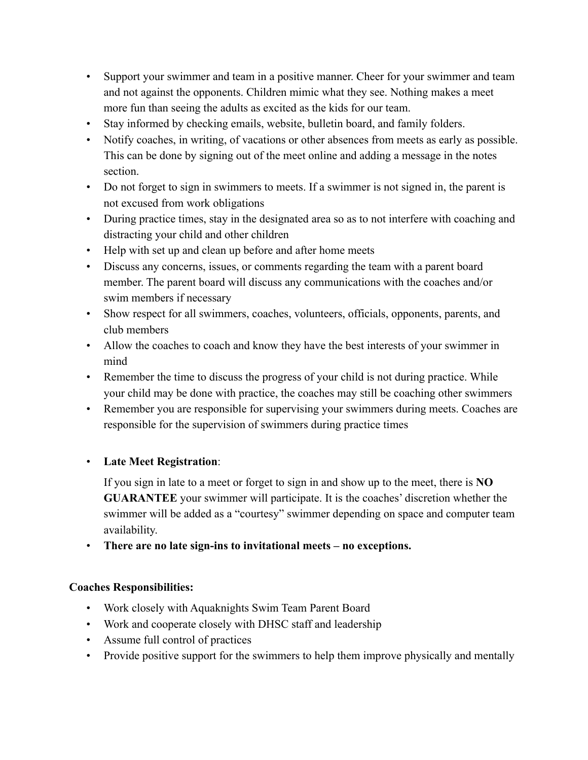- Support your swimmer and team in a positive manner. Cheer for your swimmer and team and not against the opponents. Children mimic what they see. Nothing makes a meet more fun than seeing the adults as excited as the kids for our team.
- Stay informed by checking emails, website, bulletin board, and family folders.
- Notify coaches, in writing, of vacations or other absences from meets as early as possible. This can be done by signing out of the meet online and adding a message in the notes section.
- Do not forget to sign in swimmers to meets. If a swimmer is not signed in, the parent is not excused from work obligations
- During practice times, stay in the designated area so as to not interfere with coaching and distracting your child and other children
- Help with set up and clean up before and after home meets
- Discuss any concerns, issues, or comments regarding the team with a parent board member. The parent board will discuss any communications with the coaches and/or swim members if necessary
- Show respect for all swimmers, coaches, volunteers, officials, opponents, parents, and club members
- Allow the coaches to coach and know they have the best interests of your swimmer in mind
- Remember the time to discuss the progress of your child is not during practice. While your child may be done with practice, the coaches may still be coaching other swimmers
- Remember you are responsible for supervising your swimmers during meets. Coaches are responsible for the supervision of swimmers during practice times

# • **Late Meet Registration**:

If you sign in late to a meet or forget to sign in and show up to the meet, there is **NO GUARANTEE** your swimmer will participate. It is the coaches' discretion whether the swimmer will be added as a "courtesy" swimmer depending on space and computer team availability.

• **There are no late sign-ins to invitational meets – no exceptions.**

# **Coaches Responsibilities:**

- Work closely with Aquaknights Swim Team Parent Board
- Work and cooperate closely with DHSC staff and leadership
- Assume full control of practices
- Provide positive support for the swimmers to help them improve physically and mentally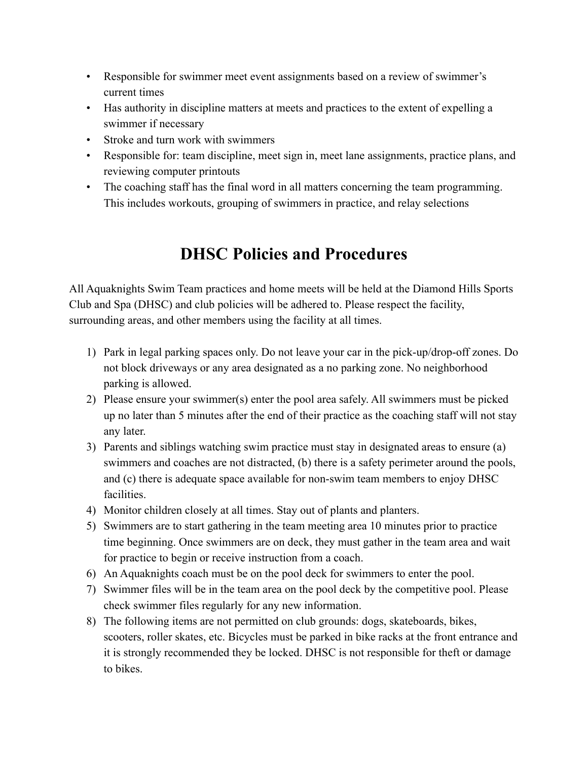- Responsible for swimmer meet event assignments based on a review of swimmer's current times
- Has authority in discipline matters at meets and practices to the extent of expelling a swimmer if necessary
- Stroke and turn work with swimmers
- Responsible for: team discipline, meet sign in, meet lane assignments, practice plans, and reviewing computer printouts
- The coaching staff has the final word in all matters concerning the team programming. This includes workouts, grouping of swimmers in practice, and relay selections

# **DHSC Policies and Procedures**

All Aquaknights Swim Team practices and home meets will be held at the Diamond Hills Sports Club and Spa (DHSC) and club policies will be adhered to. Please respect the facility, surrounding areas, and other members using the facility at all times.

- 1) Park in legal parking spaces only. Do not leave your car in the pick-up/drop-off zones. Do not block driveways or any area designated as a no parking zone. No neighborhood parking is allowed.
- 2) Please ensure your swimmer(s) enter the pool area safely. All swimmers must be picked up no later than 5 minutes after the end of their practice as the coaching staff will not stay any later.
- 3) Parents and siblings watching swim practice must stay in designated areas to ensure (a) swimmers and coaches are not distracted, (b) there is a safety perimeter around the pools, and (c) there is adequate space available for non-swim team members to enjoy DHSC facilities.
- 4) Monitor children closely at all times. Stay out of plants and planters.
- 5) Swimmers are to start gathering in the team meeting area 10 minutes prior to practice time beginning. Once swimmers are on deck, they must gather in the team area and wait for practice to begin or receive instruction from a coach.
- 6) An Aquaknights coach must be on the pool deck for swimmers to enter the pool.
- 7) Swimmer files will be in the team area on the pool deck by the competitive pool. Please check swimmer files regularly for any new information.
- 8) The following items are not permitted on club grounds: dogs, skateboards, bikes, scooters, roller skates, etc. Bicycles must be parked in bike racks at the front entrance and it is strongly recommended they be locked. DHSC is not responsible for theft or damage to bikes.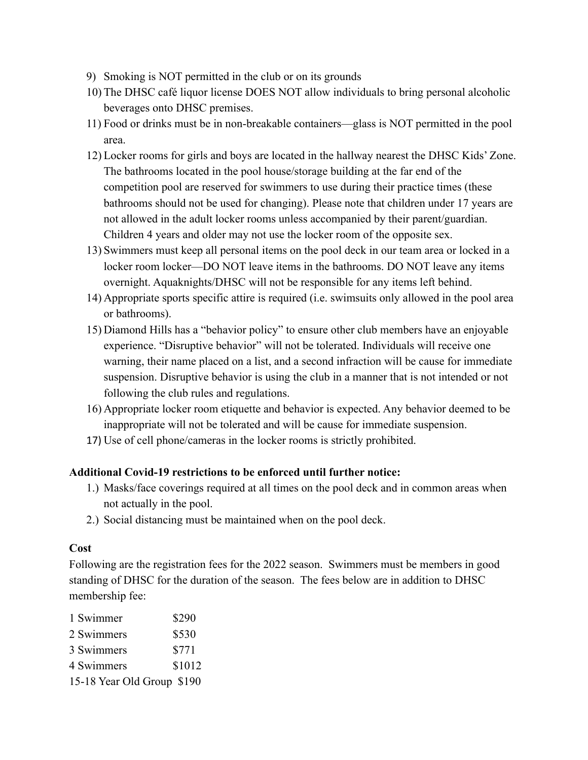- 9) Smoking is NOT permitted in the club or on its grounds
- 10) The DHSC café liquor license DOES NOT allow individuals to bring personal alcoholic beverages onto DHSC premises.
- 11) Food or drinks must be in non-breakable containers—glass is NOT permitted in the pool area.
- 12) Locker rooms for girls and boys are located in the hallway nearest the DHSC Kids' Zone. The bathrooms located in the pool house/storage building at the far end of the competition pool are reserved for swimmers to use during their practice times (these bathrooms should not be used for changing). Please note that children under 17 years are not allowed in the adult locker rooms unless accompanied by their parent/guardian. Children 4 years and older may not use the locker room of the opposite sex.
- 13) Swimmers must keep all personal items on the pool deck in our team area or locked in a locker room locker—DO NOT leave items in the bathrooms. DO NOT leave any items overnight. Aquaknights/DHSC will not be responsible for any items left behind.
- 14) Appropriate sports specific attire is required (i.e. swimsuits only allowed in the pool area or bathrooms).
- 15) Diamond Hills has a "behavior policy" to ensure other club members have an enjoyable experience. "Disruptive behavior" will not be tolerated. Individuals will receive one warning, their name placed on a list, and a second infraction will be cause for immediate suspension. Disruptive behavior is using the club in a manner that is not intended or not following the club rules and regulations.
- 16) Appropriate locker room etiquette and behavior is expected. Any behavior deemed to be inappropriate will not be tolerated and will be cause for immediate suspension.
- 17) Use of cell phone/cameras in the locker rooms is strictly prohibited.

### **Additional Covid-19 restrictions to be enforced until further notice:**

- 1.) Masks/face coverings required at all times on the pool deck and in common areas when not actually in the pool.
- 2.) Social distancing must be maintained when on the pool deck.

### **Cost**

Following are the registration fees for the 2022 season. Swimmers must be members in good standing of DHSC for the duration of the season. The fees below are in addition to DHSC membership fee:

| 1 Swimmer                  | \$290  |
|----------------------------|--------|
| 2 Swimmers                 | \$530  |
| 3 Swimmers                 | \$771  |
| 4 Swimmers                 | \$1012 |
| 15-18 Year Old Group \$190 |        |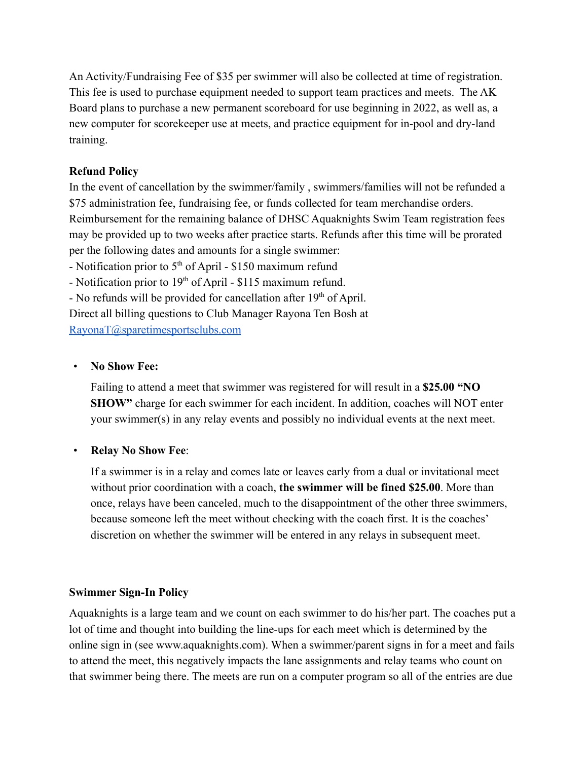An Activity/Fundraising Fee of \$35 per swimmer will also be collected at time of registration. This fee is used to purchase equipment needed to support team practices and meets. The AK Board plans to purchase a new permanent scoreboard for use beginning in 2022, as well as, a new computer for scorekeeper use at meets, and practice equipment for in-pool and dry-land training.

### **Refund Policy**

In the event of cancellation by the swimmer/family , swimmers/families will not be refunded a \$75 administration fee, fundraising fee, or funds collected for team merchandise orders. Reimbursement for the remaining balance of DHSC Aquaknights Swim Team registration fees may be provided up to two weeks after practice starts. Refunds after this time will be prorated per the following dates and amounts for a single swimmer:

- Notification prior to  $5<sup>th</sup>$  of April - \$150 maximum refund

- Notification prior to  $19<sup>th</sup>$  of April - \$115 maximum refund.

- No refunds will be provided for cancellation after  $19<sup>th</sup>$  of April.

Direct all billing questions to Club Manager Rayona Ten Bosh at

[RayonaT@sparetimesportsclubs.com](mailto:RayonaT@sparetimesportsclubs.com)

### • **No Show Fee:**

Failing to attend a meet that swimmer was registered for will result in a **\$25.00 "NO SHOW"** charge for each swimmer for each incident. In addition, coaches will NOT enter your swimmer(s) in any relay events and possibly no individual events at the next meet.

### • **Relay No Show Fee**:

If a swimmer is in a relay and comes late or leaves early from a dual or invitational meet without prior coordination with a coach, **the swimmer will be fined \$25.00**. More than once, relays have been canceled, much to the disappointment of the other three swimmers, because someone left the meet without checking with the coach first. It is the coaches' discretion on whether the swimmer will be entered in any relays in subsequent meet.

### **Swimmer Sign-In Policy**

Aquaknights is a large team and we count on each swimmer to do his/her part. The coaches put a lot of time and thought into building the line-ups for each meet which is determined by the online sign in (see www.aquaknights.com). When a swimmer/parent signs in for a meet and fails to attend the meet, this negatively impacts the lane assignments and relay teams who count on that swimmer being there. The meets are run on a computer program so all of the entries are due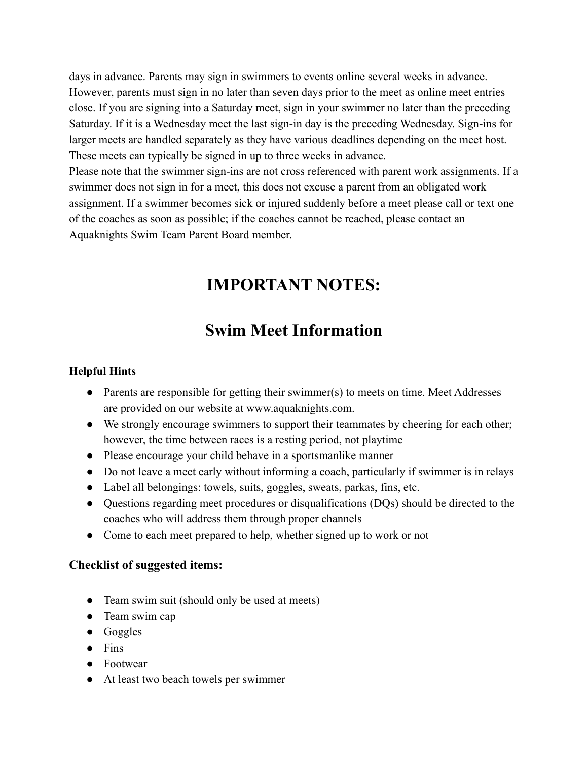days in advance. Parents may sign in swimmers to events online several weeks in advance. However, parents must sign in no later than seven days prior to the meet as online meet entries close. If you are signing into a Saturday meet, sign in your swimmer no later than the preceding Saturday. If it is a Wednesday meet the last sign-in day is the preceding Wednesday. Sign-ins for larger meets are handled separately as they have various deadlines depending on the meet host. These meets can typically be signed in up to three weeks in advance.

Please note that the swimmer sign-ins are not cross referenced with parent work assignments. If a swimmer does not sign in for a meet, this does not excuse a parent from an obligated work assignment. If a swimmer becomes sick or injured suddenly before a meet please call or text one of the coaches as soon as possible; if the coaches cannot be reached, please contact an Aquaknights Swim Team Parent Board member.

# **IMPORTANT NOTES:**

# **Swim Meet Information**

### **Helpful Hints**

- Parents are responsible for getting their swimmer(s) to meets on time. Meet Addresses are provided on our website at www.aquaknights.com.
- We strongly encourage swimmers to support their teammates by cheering for each other; however, the time between races is a resting period, not playtime
- Please encourage your child behave in a sportsmanlike manner
- Do not leave a meet early without informing a coach, particularly if swimmer is in relays
- Label all belongings: towels, suits, goggles, sweats, parkas, fins, etc.
- Questions regarding meet procedures or disqualifications (DQs) should be directed to the coaches who will address them through proper channels
- Come to each meet prepared to help, whether signed up to work or not

# **Checklist of suggested items:**

- Team swim suit (should only be used at meets)
- Team swim cap
- Goggles
- Fins
- Footwear
- At least two beach towels per swimmer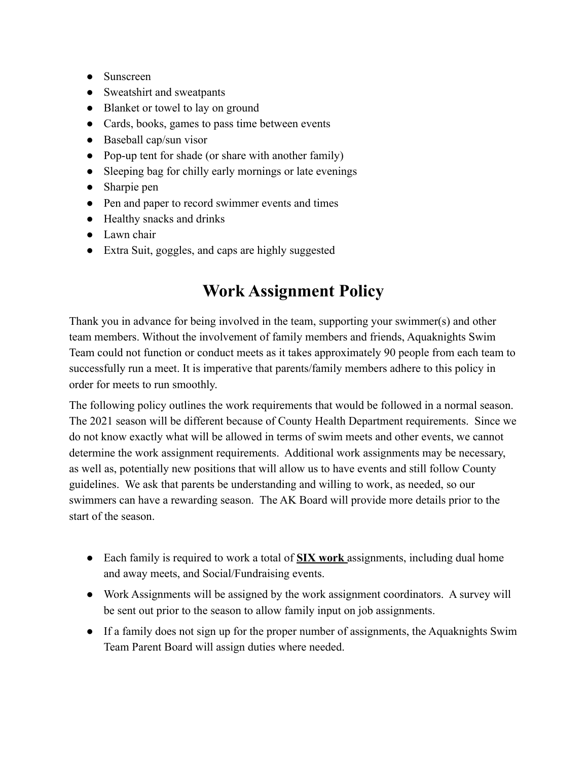- Sunscreen
- Sweatshirt and sweatpants
- Blanket or towel to lay on ground
- Cards, books, games to pass time between events
- $\bullet$  Baseball cap/sun visor
- Pop-up tent for shade (or share with another family)
- Sleeping bag for chilly early mornings or late evenings
- Sharpie pen
- Pen and paper to record swimmer events and times
- Healthy snacks and drinks
- Lawn chair
- Extra Suit, goggles, and caps are highly suggested

# **Work Assignment Policy**

Thank you in advance for being involved in the team, supporting your swimmer(s) and other team members. Without the involvement of family members and friends, Aquaknights Swim Team could not function or conduct meets as it takes approximately 90 people from each team to successfully run a meet. It is imperative that parents/family members adhere to this policy in order for meets to run smoothly.

The following policy outlines the work requirements that would be followed in a normal season. The 2021 season will be different because of County Health Department requirements. Since we do not know exactly what will be allowed in terms of swim meets and other events, we cannot determine the work assignment requirements. Additional work assignments may be necessary, as well as, potentially new positions that will allow us to have events and still follow County guidelines. We ask that parents be understanding and willing to work, as needed, so our swimmers can have a rewarding season. The AK Board will provide more details prior to the start of the season.

- Each family is required to work a total of **SIX work** assignments, including dual home and away meets, and Social/Fundraising events.
- Work Assignments will be assigned by the work assignment coordinators. A survey will be sent out prior to the season to allow family input on job assignments.
- If a family does not sign up for the proper number of assignments, the Aquaknights Swim Team Parent Board will assign duties where needed.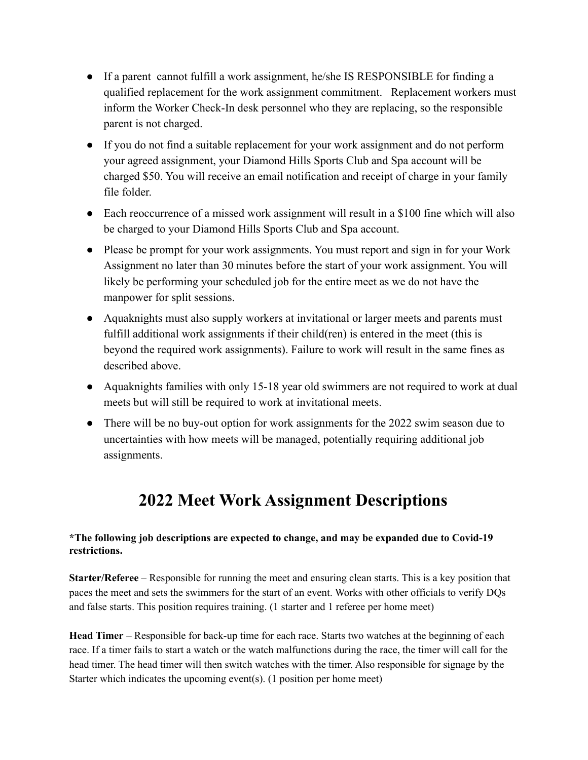- If a parent cannot fulfill a work assignment, he/she IS RESPONSIBLE for finding a qualified replacement for the work assignment commitment. Replacement workers must inform the Worker Check-In desk personnel who they are replacing, so the responsible parent is not charged.
- If you do not find a suitable replacement for your work assignment and do not perform your agreed assignment, your Diamond Hills Sports Club and Spa account will be charged \$50. You will receive an email notification and receipt of charge in your family file folder.
- Each reoccurrence of a missed work assignment will result in a \$100 fine which will also be charged to your Diamond Hills Sports Club and Spa account.
- Please be prompt for your work assignments. You must report and sign in for your Work Assignment no later than 30 minutes before the start of your work assignment. You will likely be performing your scheduled job for the entire meet as we do not have the manpower for split sessions.
- Aquaknights must also supply workers at invitational or larger meets and parents must fulfill additional work assignments if their child(ren) is entered in the meet (this is beyond the required work assignments). Failure to work will result in the same fines as described above.
- Aquaknights families with only 15-18 year old swimmers are not required to work at dual meets but will still be required to work at invitational meets.
- There will be no buy-out option for work assignments for the 2022 swim season due to uncertainties with how meets will be managed, potentially requiring additional job assignments.

# **2022 Meet Work Assignment Descriptions**

### **\*The following job descriptions are expected to change, and may be expanded due to Covid-19 restrictions.**

**Starter/Referee** – Responsible for running the meet and ensuring clean starts. This is a key position that paces the meet and sets the swimmers for the start of an event. Works with other officials to verify DQs and false starts. This position requires training. (1 starter and 1 referee per home meet)

**Head Timer** – Responsible for back-up time for each race. Starts two watches at the beginning of each race. If a timer fails to start a watch or the watch malfunctions during the race, the timer will call for the head timer. The head timer will then switch watches with the timer. Also responsible for signage by the Starter which indicates the upcoming event(s). (1 position per home meet)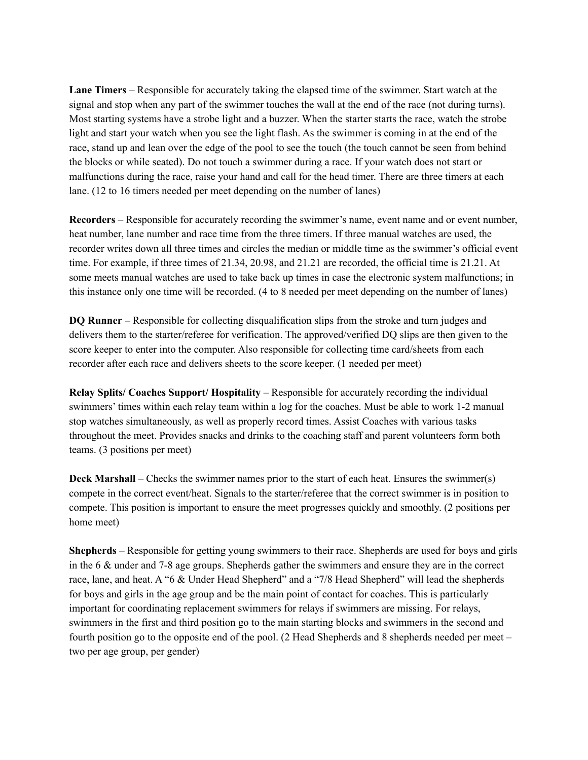**Lane Timers** – Responsible for accurately taking the elapsed time of the swimmer. Start watch at the signal and stop when any part of the swimmer touches the wall at the end of the race (not during turns). Most starting systems have a strobe light and a buzzer. When the starter starts the race, watch the strobe light and start your watch when you see the light flash. As the swimmer is coming in at the end of the race, stand up and lean over the edge of the pool to see the touch (the touch cannot be seen from behind the blocks or while seated). Do not touch a swimmer during a race. If your watch does not start or malfunctions during the race, raise your hand and call for the head timer. There are three timers at each lane. (12 to 16 timers needed per meet depending on the number of lanes)

**Recorders** – Responsible for accurately recording the swimmer's name, event name and or event number, heat number, lane number and race time from the three timers. If three manual watches are used, the recorder writes down all three times and circles the median or middle time as the swimmer's official event time. For example, if three times of 21.34, 20.98, and 21.21 are recorded, the official time is 21.21. At some meets manual watches are used to take back up times in case the electronic system malfunctions; in this instance only one time will be recorded. (4 to 8 needed per meet depending on the number of lanes)

**DQ Runner** – Responsible for collecting disqualification slips from the stroke and turn judges and delivers them to the starter/referee for verification. The approved/verified DQ slips are then given to the score keeper to enter into the computer. Also responsible for collecting time card/sheets from each recorder after each race and delivers sheets to the score keeper. (1 needed per meet)

**Relay Splits/ Coaches Support/ Hospitality** – Responsible for accurately recording the individual swimmers' times within each relay team within a log for the coaches. Must be able to work 1-2 manual stop watches simultaneously, as well as properly record times. Assist Coaches with various tasks throughout the meet. Provides snacks and drinks to the coaching staff and parent volunteers form both teams. (3 positions per meet)

**Deck Marshall** – Checks the swimmer names prior to the start of each heat. Ensures the swimmer(s) compete in the correct event/heat. Signals to the starter/referee that the correct swimmer is in position to compete. This position is important to ensure the meet progresses quickly and smoothly. (2 positions per home meet)

**Shepherds** – Responsible for getting young swimmers to their race. Shepherds are used for boys and girls in the 6 & under and 7-8 age groups. Shepherds gather the swimmers and ensure they are in the correct race, lane, and heat. A "6 & Under Head Shepherd" and a "7/8 Head Shepherd" will lead the shepherds for boys and girls in the age group and be the main point of contact for coaches. This is particularly important for coordinating replacement swimmers for relays if swimmers are missing. For relays, swimmers in the first and third position go to the main starting blocks and swimmers in the second and fourth position go to the opposite end of the pool. (2 Head Shepherds and 8 shepherds needed per meet – two per age group, per gender)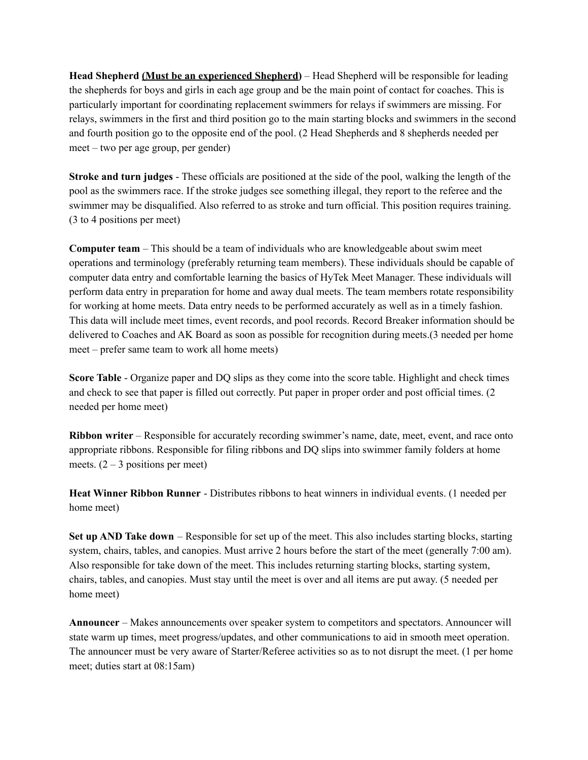**Head Shepherd (Must be an experienced Shepherd)** – Head Shepherd will be responsible for leading the shepherds for boys and girls in each age group and be the main point of contact for coaches. This is particularly important for coordinating replacement swimmers for relays if swimmers are missing. For relays, swimmers in the first and third position go to the main starting blocks and swimmers in the second and fourth position go to the opposite end of the pool. (2 Head Shepherds and 8 shepherds needed per meet – two per age group, per gender)

**Stroke and turn judges** - These officials are positioned at the side of the pool, walking the length of the pool as the swimmers race. If the stroke judges see something illegal, they report to the referee and the swimmer may be disqualified. Also referred to as stroke and turn official. This position requires training. (3 to 4 positions per meet)

**Computer team** – This should be a team of individuals who are knowledgeable about swim meet operations and terminology (preferably returning team members). These individuals should be capable of computer data entry and comfortable learning the basics of HyTek Meet Manager. These individuals will perform data entry in preparation for home and away dual meets. The team members rotate responsibility for working at home meets. Data entry needs to be performed accurately as well as in a timely fashion. This data will include meet times, event records, and pool records. Record Breaker information should be delivered to Coaches and AK Board as soon as possible for recognition during meets.(3 needed per home meet – prefer same team to work all home meets)

**Score Table** - Organize paper and DQ slips as they come into the score table. Highlight and check times and check to see that paper is filled out correctly. Put paper in proper order and post official times. (2 needed per home meet)

**Ribbon writer** – Responsible for accurately recording swimmer's name, date, meet, event, and race onto appropriate ribbons. Responsible for filing ribbons and DQ slips into swimmer family folders at home meets.  $(2 – 3$  positions per meet)

**Heat Winner Ribbon Runner** - Distributes ribbons to heat winners in individual events. (1 needed per home meet)

**Set up AND Take down** – Responsible for set up of the meet. This also includes starting blocks, starting system, chairs, tables, and canopies. Must arrive 2 hours before the start of the meet (generally 7:00 am). Also responsible for take down of the meet. This includes returning starting blocks, starting system, chairs, tables, and canopies. Must stay until the meet is over and all items are put away. (5 needed per home meet)

**Announcer** – Makes announcements over speaker system to competitors and spectators. Announcer will state warm up times, meet progress/updates, and other communications to aid in smooth meet operation. The announcer must be very aware of Starter/Referee activities so as to not disrupt the meet. (1 per home meet; duties start at 08:15am)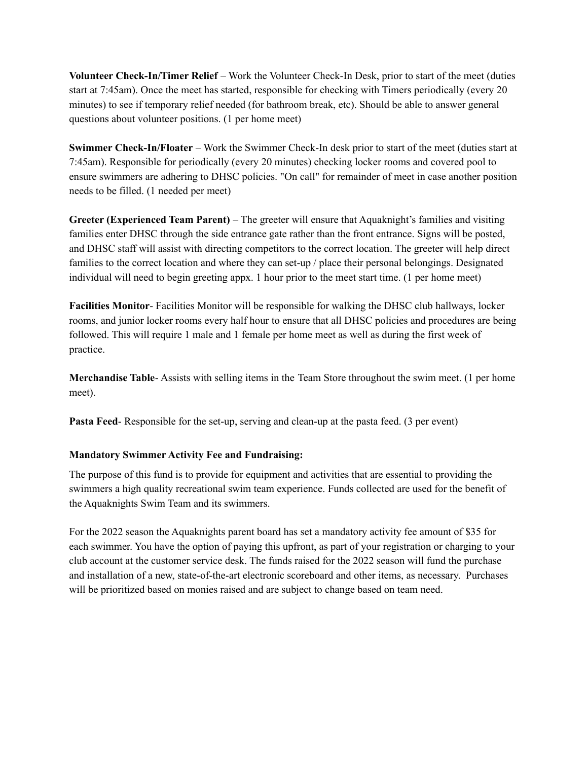**Volunteer Check-In/Timer Relief** – Work the Volunteer Check-In Desk, prior to start of the meet (duties start at 7:45am). Once the meet has started, responsible for checking with Timers periodically (every 20 minutes) to see if temporary relief needed (for bathroom break, etc). Should be able to answer general questions about volunteer positions. (1 per home meet)

**Swimmer Check-In/Floater** – Work the Swimmer Check-In desk prior to start of the meet (duties start at 7:45am). Responsible for periodically (every 20 minutes) checking locker rooms and covered pool to ensure swimmers are adhering to DHSC policies. "On call" for remainder of meet in case another position needs to be filled. (1 needed per meet)

**Greeter (Experienced Team Parent)** – The greeter will ensure that Aquaknight's families and visiting families enter DHSC through the side entrance gate rather than the front entrance. Signs will be posted, and DHSC staff will assist with directing competitors to the correct location. The greeter will help direct families to the correct location and where they can set-up / place their personal belongings. Designated individual will need to begin greeting appx. 1 hour prior to the meet start time. (1 per home meet)

**Facilities Monitor**- Facilities Monitor will be responsible for walking the DHSC club hallways, locker rooms, and junior locker rooms every half hour to ensure that all DHSC policies and procedures are being followed. This will require 1 male and 1 female per home meet as well as during the first week of practice.

**Merchandise Table**- Assists with selling items in the Team Store throughout the swim meet. (1 per home meet).

**Pasta Feed**- Responsible for the set-up, serving and clean-up at the pasta feed. (3 per event)

#### **Mandatory Swimmer Activity Fee and Fundraising:**

The purpose of this fund is to provide for equipment and activities that are essential to providing the swimmers a high quality recreational swim team experience. Funds collected are used for the benefit of the Aquaknights Swim Team and its swimmers.

For the 2022 season the Aquaknights parent board has set a mandatory activity fee amount of \$35 for each swimmer. You have the option of paying this upfront, as part of your registration or charging to your club account at the customer service desk. The funds raised for the 2022 season will fund the purchase and installation of a new, state-of-the-art electronic scoreboard and other items, as necessary. Purchases will be prioritized based on monies raised and are subject to change based on team need.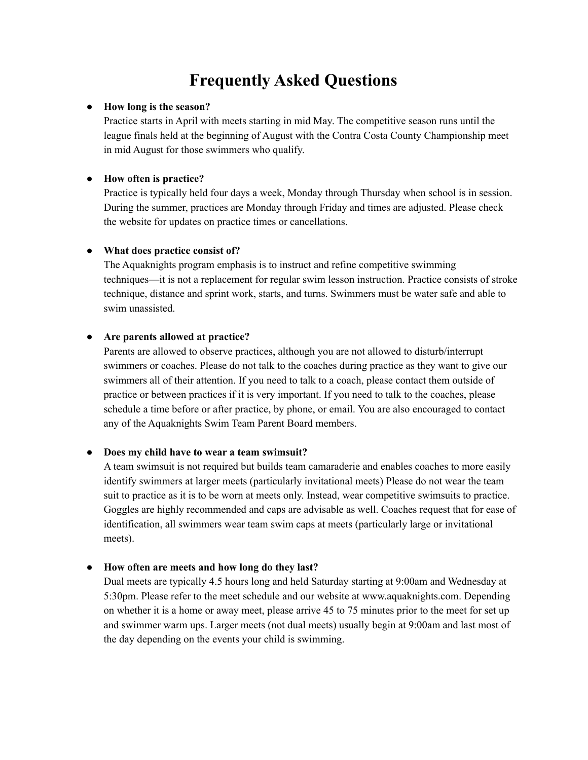# **Frequently Asked Questions**

#### ● **How long is the season?**

Practice starts in April with meets starting in mid May. The competitive season runs until the league finals held at the beginning of August with the Contra Costa County Championship meet in mid August for those swimmers who qualify.

#### ● **How often is practice?**

Practice is typically held four days a week, Monday through Thursday when school is in session. During the summer, practices are Monday through Friday and times are adjusted. Please check the website for updates on practice times or cancellations.

#### ● **What does practice consist of?**

The Aquaknights program emphasis is to instruct and refine competitive swimming techniques—it is not a replacement for regular swim lesson instruction. Practice consists of stroke technique, distance and sprint work, starts, and turns. Swimmers must be water safe and able to swim unassisted.

#### ● **Are parents allowed at practice?**

Parents are allowed to observe practices, although you are not allowed to disturb/interrupt swimmers or coaches. Please do not talk to the coaches during practice as they want to give our swimmers all of their attention. If you need to talk to a coach, please contact them outside of practice or between practices if it is very important. If you need to talk to the coaches, please schedule a time before or after practice, by phone, or email. You are also encouraged to contact any of the Aquaknights Swim Team Parent Board members.

#### ● **Does my child have to wear a team swimsuit?**

A team swimsuit is not required but builds team camaraderie and enables coaches to more easily identify swimmers at larger meets (particularly invitational meets) Please do not wear the team suit to practice as it is to be worn at meets only. Instead, wear competitive swimsuits to practice. Goggles are highly recommended and caps are advisable as well. Coaches request that for ease of identification, all swimmers wear team swim caps at meets (particularly large or invitational meets).

#### ● **How often are meets and how long do they last?**

Dual meets are typically 4.5 hours long and held Saturday starting at 9:00am and Wednesday at 5:30pm. Please refer to the meet schedule and our website at www.aquaknights.com. Depending on whether it is a home or away meet, please arrive 45 to 75 minutes prior to the meet for set up and swimmer warm ups. Larger meets (not dual meets) usually begin at 9:00am and last most of the day depending on the events your child is swimming.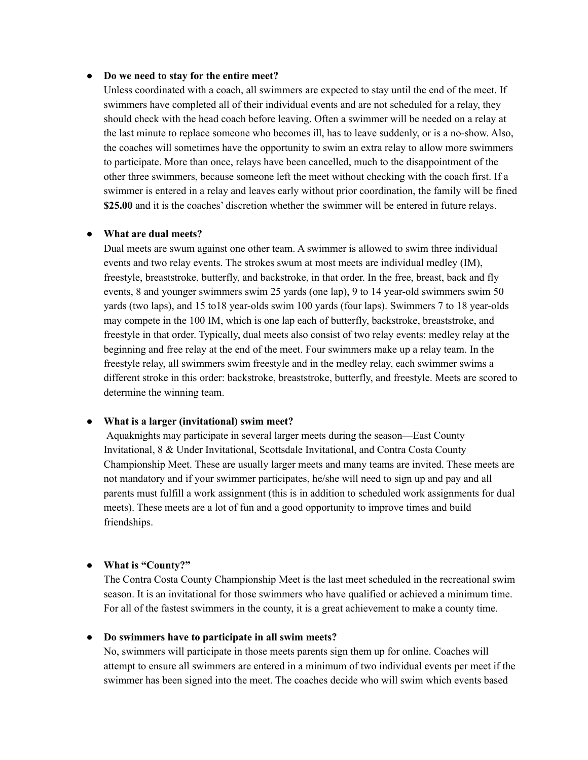#### ● **Do we need to stay for the entire meet?**

Unless coordinated with a coach, all swimmers are expected to stay until the end of the meet. If swimmers have completed all of their individual events and are not scheduled for a relay, they should check with the head coach before leaving. Often a swimmer will be needed on a relay at the last minute to replace someone who becomes ill, has to leave suddenly, or is a no-show. Also, the coaches will sometimes have the opportunity to swim an extra relay to allow more swimmers to participate. More than once, relays have been cancelled, much to the disappointment of the other three swimmers, because someone left the meet without checking with the coach first. If a swimmer is entered in a relay and leaves early without prior coordination, the family will be fined **\$25.00** and it is the coaches' discretion whether the swimmer will be entered in future relays.

#### ● **What are dual meets?**

Dual meets are swum against one other team. A swimmer is allowed to swim three individual events and two relay events. The strokes swum at most meets are individual medley (IM), freestyle, breaststroke, butterfly, and backstroke, in that order. In the free, breast, back and fly events, 8 and younger swimmers swim 25 yards (one lap), 9 to 14 year-old swimmers swim 50 yards (two laps), and 15 to18 year-olds swim 100 yards (four laps). Swimmers 7 to 18 year-olds may compete in the 100 IM, which is one lap each of butterfly, backstroke, breaststroke, and freestyle in that order. Typically, dual meets also consist of two relay events: medley relay at the beginning and free relay at the end of the meet. Four swimmers make up a relay team. In the freestyle relay, all swimmers swim freestyle and in the medley relay, each swimmer swims a different stroke in this order: backstroke, breaststroke, butterfly, and freestyle. Meets are scored to determine the winning team.

#### ● **What is a larger (invitational) swim meet?**

Aquaknights may participate in several larger meets during the season—East County Invitational, 8 & Under Invitational, Scottsdale Invitational, and Contra Costa County Championship Meet. These are usually larger meets and many teams are invited. These meets are not mandatory and if your swimmer participates, he/she will need to sign up and pay and all parents must fulfill a work assignment (this is in addition to scheduled work assignments for dual meets). These meets are a lot of fun and a good opportunity to improve times and build friendships.

#### ● **What is "County?"**

The Contra Costa County Championship Meet is the last meet scheduled in the recreational swim season. It is an invitational for those swimmers who have qualified or achieved a minimum time. For all of the fastest swimmers in the county, it is a great achievement to make a county time.

#### ● **Do swimmers have to participate in all swim meets?**

No, swimmers will participate in those meets parents sign them up for online. Coaches will attempt to ensure all swimmers are entered in a minimum of two individual events per meet if the swimmer has been signed into the meet. The coaches decide who will swim which events based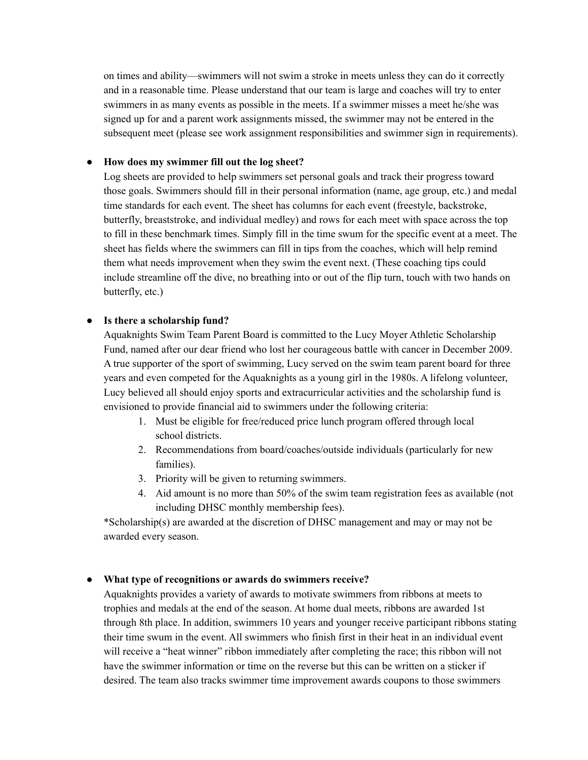on times and ability—swimmers will not swim a stroke in meets unless they can do it correctly and in a reasonable time. Please understand that our team is large and coaches will try to enter swimmers in as many events as possible in the meets. If a swimmer misses a meet he/she was signed up for and a parent work assignments missed, the swimmer may not be entered in the subsequent meet (please see work assignment responsibilities and swimmer sign in requirements).

#### ● **How does my swimmer fill out the log sheet?**

Log sheets are provided to help swimmers set personal goals and track their progress toward those goals. Swimmers should fill in their personal information (name, age group, etc.) and medal time standards for each event. The sheet has columns for each event (freestyle, backstroke, butterfly, breaststroke, and individual medley) and rows for each meet with space across the top to fill in these benchmark times. Simply fill in the time swum for the specific event at a meet. The sheet has fields where the swimmers can fill in tips from the coaches, which will help remind them what needs improvement when they swim the event next. (These coaching tips could include streamline off the dive, no breathing into or out of the flip turn, touch with two hands on butterfly, etc.)

#### ● **Is there a scholarship fund?**

Aquaknights Swim Team Parent Board is committed to the Lucy Moyer Athletic Scholarship Fund, named after our dear friend who lost her courageous battle with cancer in December 2009. A true supporter of the sport of swimming, Lucy served on the swim team parent board for three years and even competed for the Aquaknights as a young girl in the 1980s. A lifelong volunteer, Lucy believed all should enjoy sports and extracurricular activities and the scholarship fund is envisioned to provide financial aid to swimmers under the following criteria:

- 1. Must be eligible for free/reduced price lunch program offered through local school districts.
- 2. Recommendations from board/coaches/outside individuals (particularly for new families).
- 3. Priority will be given to returning swimmers.
- 4. Aid amount is no more than 50% of the swim team registration fees as available (not including DHSC monthly membership fees).

\*Scholarship(s) are awarded at the discretion of DHSC management and may or may not be awarded every season.

#### ● **What type of recognitions or awards do swimmers receive?**

Aquaknights provides a variety of awards to motivate swimmers from ribbons at meets to trophies and medals at the end of the season. At home dual meets, ribbons are awarded 1st through 8th place. In addition, swimmers 10 years and younger receive participant ribbons stating their time swum in the event. All swimmers who finish first in their heat in an individual event will receive a "heat winner" ribbon immediately after completing the race; this ribbon will not have the swimmer information or time on the reverse but this can be written on a sticker if desired. The team also tracks swimmer time improvement awards coupons to those swimmers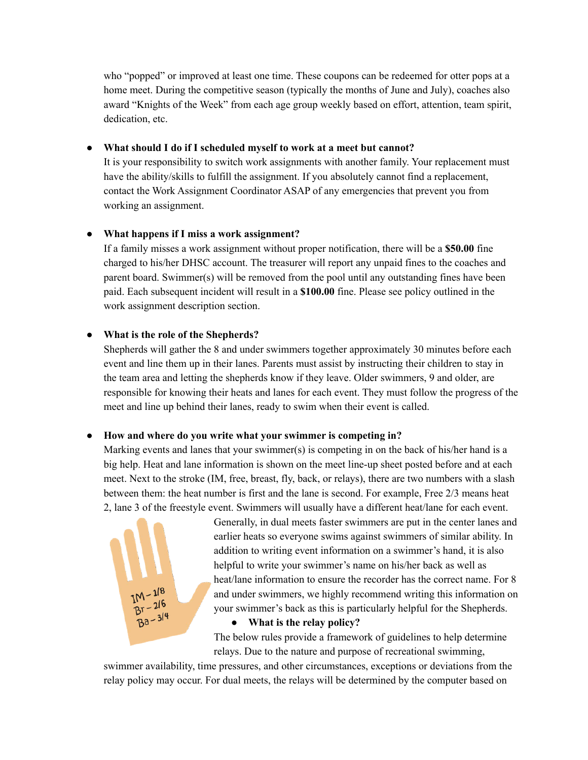who "popped" or improved at least one time. These coupons can be redeemed for otter pops at a home meet. During the competitive season (typically the months of June and July), coaches also award "Knights of the Week" from each age group weekly based on effort, attention, team spirit, dedication, etc.

#### ● **What should I do if I scheduled myself to work at a meet but cannot?**

It is your responsibility to switch work assignments with another family. Your replacement must have the ability/skills to fulfill the assignment. If you absolutely cannot find a replacement, contact the Work Assignment Coordinator ASAP of any emergencies that prevent you from working an assignment.

#### ● **What happens if I miss a work assignment?**

If a family misses a work assignment without proper notification, there will be a **\$50.00** fine charged to his/her DHSC account. The treasurer will report any unpaid fines to the coaches and parent board. Swimmer(s) will be removed from the pool until any outstanding fines have been paid. Each subsequent incident will result in a **\$100.00** fine. Please see policy outlined in the work assignment description section.

#### ● **What is the role of the Shepherds?**

Shepherds will gather the 8 and under swimmers together approximately 30 minutes before each event and line them up in their lanes. Parents must assist by instructing their children to stay in the team area and letting the shepherds know if they leave. Older swimmers, 9 and older, are responsible for knowing their heats and lanes for each event. They must follow the progress of the meet and line up behind their lanes, ready to swim when their event is called.

#### ● **How and where do you write what your swimmer is competing in?**

Marking events and lanes that your swimmer(s) is competing in on the back of his/her hand is a big help. Heat and lane information is shown on the meet line-up sheet posted before and at each meet. Next to the stroke (IM, free, breast, fly, back, or relays), there are two numbers with a slash between them: the heat number is first and the lane is second. For example, Free 2/3 means heat 2, lane 3 of the freestyle event. Swimmers will usually have a different heat/lane for each event.



Generally, in dual meets faster swimmers are put in the center lanes and earlier heats so everyone swims against swimmers of similar ability. In addition to writing event information on a swimmer's hand, it is also helpful to write your swimmer's name on his/her back as well as heat/lane information to ensure the recorder has the correct name. For 8 and under swimmers, we highly recommend writing this information on your swimmer's back as this is particularly helpful for the Shepherds.

#### ● **What is the relay policy?**

The below rules provide a framework of guidelines to help determine relays. Due to the nature and purpose of recreational swimming,

swimmer availability, time pressures, and other circumstances, exceptions or deviations from the relay policy may occur. For dual meets, the relays will be determined by the computer based on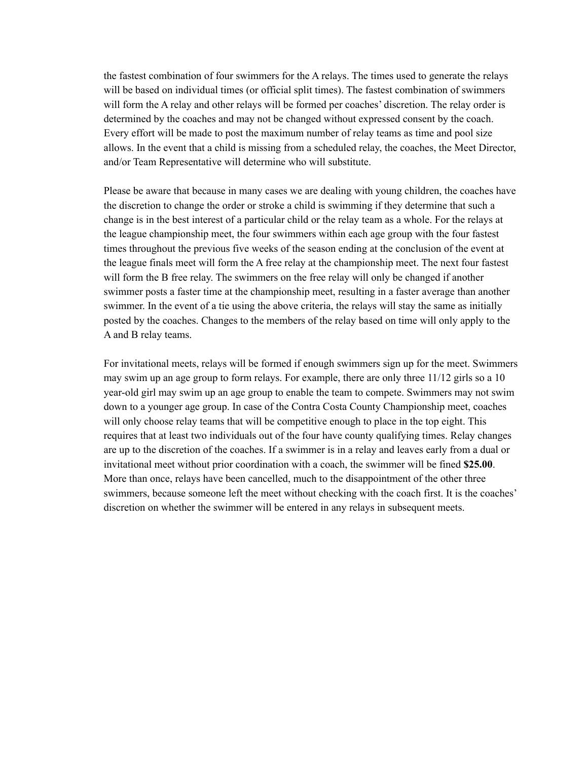the fastest combination of four swimmers for the A relays. The times used to generate the relays will be based on individual times (or official split times). The fastest combination of swimmers will form the A relay and other relays will be formed per coaches' discretion. The relay order is determined by the coaches and may not be changed without expressed consent by the coach. Every effort will be made to post the maximum number of relay teams as time and pool size allows. In the event that a child is missing from a scheduled relay, the coaches, the Meet Director, and/or Team Representative will determine who will substitute.

Please be aware that because in many cases we are dealing with young children, the coaches have the discretion to change the order or stroke a child is swimming if they determine that such a change is in the best interest of a particular child or the relay team as a whole. For the relays at the league championship meet, the four swimmers within each age group with the four fastest times throughout the previous five weeks of the season ending at the conclusion of the event at the league finals meet will form the A free relay at the championship meet. The next four fastest will form the B free relay. The swimmers on the free relay will only be changed if another swimmer posts a faster time at the championship meet, resulting in a faster average than another swimmer. In the event of a tie using the above criteria, the relays will stay the same as initially posted by the coaches. Changes to the members of the relay based on time will only apply to the A and B relay teams.

For invitational meets, relays will be formed if enough swimmers sign up for the meet. Swimmers may swim up an age group to form relays. For example, there are only three 11/12 girls so a 10 year-old girl may swim up an age group to enable the team to compete. Swimmers may not swim down to a younger age group. In case of the Contra Costa County Championship meet, coaches will only choose relay teams that will be competitive enough to place in the top eight. This requires that at least two individuals out of the four have county qualifying times. Relay changes are up to the discretion of the coaches. If a swimmer is in a relay and leaves early from a dual or invitational meet without prior coordination with a coach, the swimmer will be fined **\$25.00**. More than once, relays have been cancelled, much to the disappointment of the other three swimmers, because someone left the meet without checking with the coach first. It is the coaches' discretion on whether the swimmer will be entered in any relays in subsequent meets.